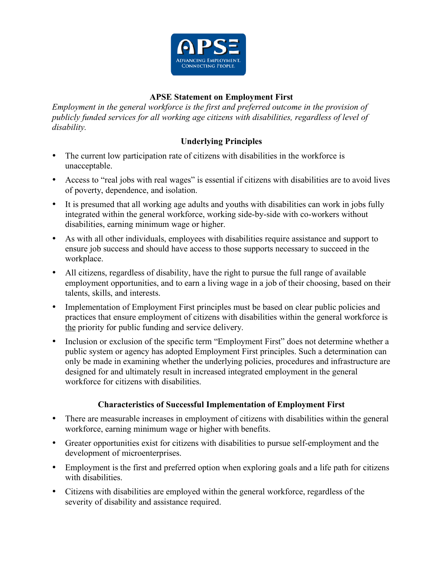

## **APSE Statement on Employment First**

*Employment in the general workforce is the first and preferred outcome in the provision of publicly funded services for all working age citizens with disabilities, regardless of level of disability.*

## **Underlying Principles**

- The current low participation rate of citizens with disabilities in the workforce is unacceptable.
- Access to "real jobs with real wages" is essential if citizens with disabilities are to avoid lives of poverty, dependence, and isolation.
- It is presumed that all working age adults and youths with disabilities can work in jobs fully integrated within the general workforce, working side-by-side with co-workers without disabilities, earning minimum wage or higher.
- As with all other individuals, employees with disabilities require assistance and support to ensure job success and should have access to those supports necessary to succeed in the workplace.
- All citizens, regardless of disability, have the right to pursue the full range of available employment opportunities, and to earn a living wage in a job of their choosing, based on their talents, skills, and interests.
- Implementation of Employment First principles must be based on clear public policies and practices that ensure employment of citizens with disabilities within the general workforce is the priority for public funding and service delivery.
- Inclusion or exclusion of the specific term "Employment First" does not determine whether a public system or agency has adopted Employment First principles. Such a determination can only be made in examining whether the underlying policies, procedures and infrastructure are designed for and ultimately result in increased integrated employment in the general workforce for citizens with disabilities.

## **Characteristics of Successful Implementation of Employment First**

- There are measurable increases in employment of citizens with disabilities within the general workforce, earning minimum wage or higher with benefits.
- Greater opportunities exist for citizens with disabilities to pursue self-employment and the development of microenterprises.
- Employment is the first and preferred option when exploring goals and a life path for citizens with disabilities.
- Citizens with disabilities are employed within the general workforce, regardless of the severity of disability and assistance required.